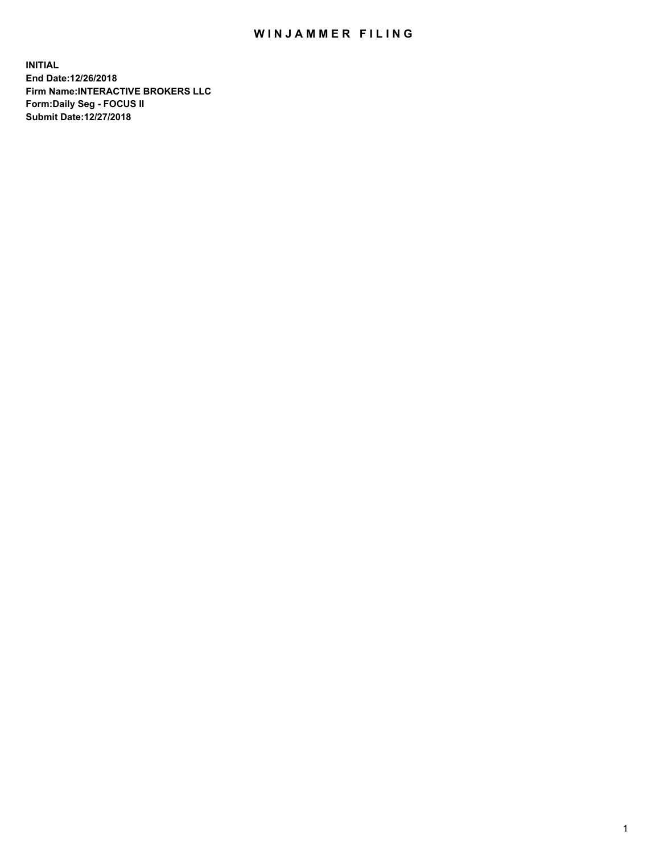## WIN JAMMER FILING

**INITIAL End Date:12/26/2018 Firm Name:INTERACTIVE BROKERS LLC Form:Daily Seg - FOCUS II Submit Date:12/27/2018**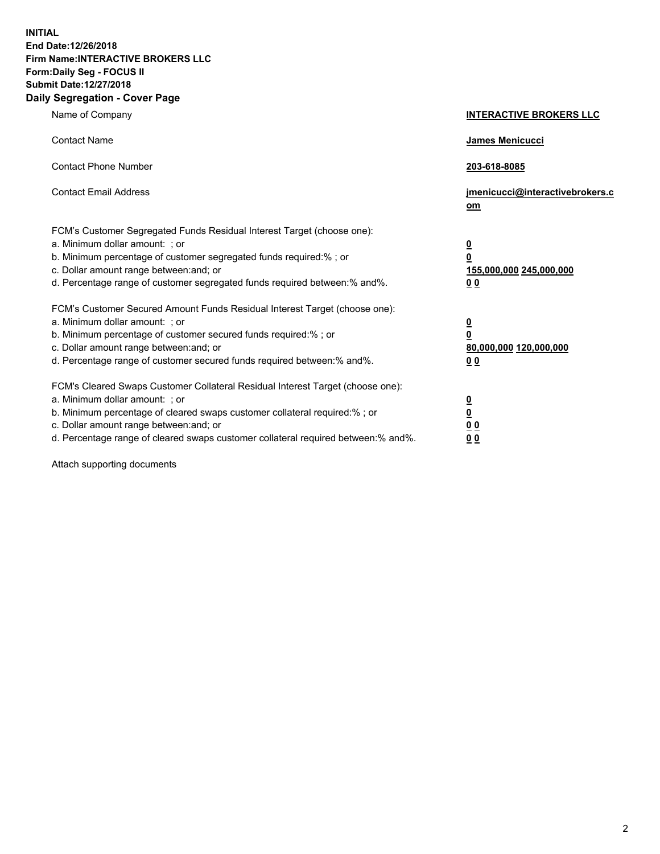**INITIAL End Date:12/26/2018 Firm Name:INTERACTIVE BROKERS LLC Form:Daily Seg - FOCUS II Submit Date:12/27/2018 Daily Segregation - Cover Page**

| Name of Company                                                                                                                                                                                                                                                                                                                | <b>INTERACTIVE BROKERS LLC</b>                                                                  |
|--------------------------------------------------------------------------------------------------------------------------------------------------------------------------------------------------------------------------------------------------------------------------------------------------------------------------------|-------------------------------------------------------------------------------------------------|
| <b>Contact Name</b>                                                                                                                                                                                                                                                                                                            | James Menicucci                                                                                 |
| <b>Contact Phone Number</b>                                                                                                                                                                                                                                                                                                    | 203-618-8085                                                                                    |
| <b>Contact Email Address</b>                                                                                                                                                                                                                                                                                                   | jmenicucci@interactivebrokers.c<br>om                                                           |
| FCM's Customer Segregated Funds Residual Interest Target (choose one):<br>a. Minimum dollar amount: ; or<br>b. Minimum percentage of customer segregated funds required:% ; or<br>c. Dollar amount range between: and; or<br>d. Percentage range of customer segregated funds required between:% and%.                         | $\overline{\mathbf{0}}$<br>$\overline{\mathbf{0}}$<br>155,000,000 245,000,000<br>0 <sub>0</sub> |
| FCM's Customer Secured Amount Funds Residual Interest Target (choose one):<br>a. Minimum dollar amount: ; or<br>b. Minimum percentage of customer secured funds required:%; or<br>c. Dollar amount range between: and; or<br>d. Percentage range of customer secured funds required between:% and%.                            | $\overline{\mathbf{0}}$<br>$\overline{\mathbf{0}}$<br>80,000,000 120,000,000<br>0 <sub>0</sub>  |
| FCM's Cleared Swaps Customer Collateral Residual Interest Target (choose one):<br>a. Minimum dollar amount: ; or<br>b. Minimum percentage of cleared swaps customer collateral required:% ; or<br>c. Dollar amount range between: and; or<br>d. Percentage range of cleared swaps customer collateral required between:% and%. | $\overline{\mathbf{0}}$<br>$\underline{\mathbf{0}}$<br>0 <sub>0</sub><br>0 <sub>0</sub>         |

Attach supporting documents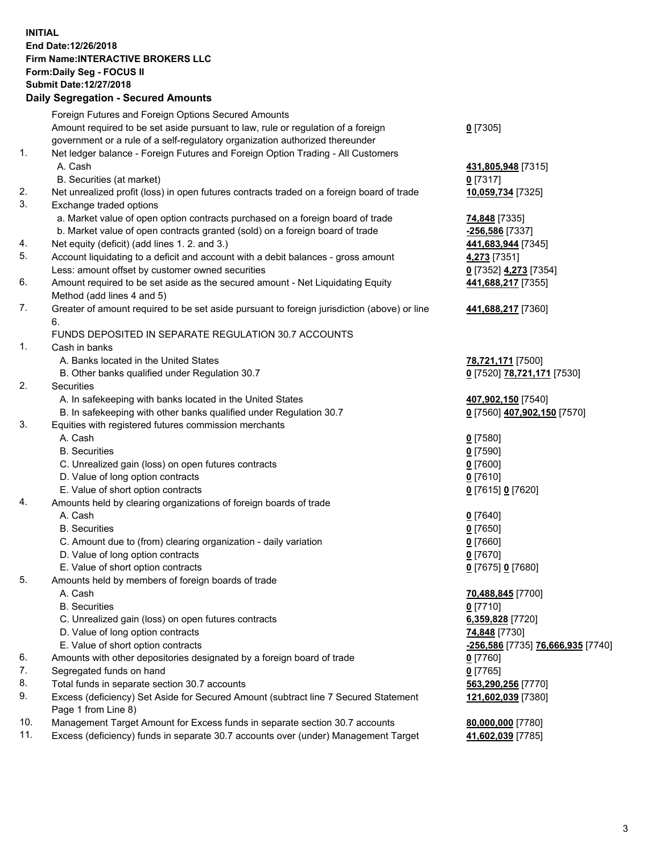## **INITIAL End Date:12/26/2018 Firm Name:INTERACTIVE BROKERS LLC Form:Daily Seg - FOCUS II Submit Date:12/27/2018 Daily Segregation - Secured Amounts**

|     | Daily Segregation - Secured Amounts                                                         |                                                       |
|-----|---------------------------------------------------------------------------------------------|-------------------------------------------------------|
|     | Foreign Futures and Foreign Options Secured Amounts                                         |                                                       |
|     | Amount required to be set aside pursuant to law, rule or regulation of a foreign            | $0$ [7305]                                            |
|     | government or a rule of a self-regulatory organization authorized thereunder                |                                                       |
| 1.  | Net ledger balance - Foreign Futures and Foreign Option Trading - All Customers             |                                                       |
|     | A. Cash                                                                                     | 431,805,948 [7315]                                    |
|     | B. Securities (at market)                                                                   | $0$ [7317]                                            |
| 2.  | Net unrealized profit (loss) in open futures contracts traded on a foreign board of trade   | 10,059,734 [7325]                                     |
| 3.  | Exchange traded options                                                                     |                                                       |
|     | a. Market value of open option contracts purchased on a foreign board of trade              | 74,848 [7335]                                         |
|     | b. Market value of open contracts granted (sold) on a foreign board of trade                | -256,586 [7337]                                       |
| 4.  | Net equity (deficit) (add lines 1. 2. and 3.)                                               | 441,683,944 [7345]                                    |
| 5.  | Account liquidating to a deficit and account with a debit balances - gross amount           | 4,273 [7351]                                          |
|     | Less: amount offset by customer owned securities                                            | 0 [7352] 4,273 [7354]                                 |
| 6.  | Amount required to be set aside as the secured amount - Net Liquidating Equity              | 441,688,217 [7355]                                    |
|     | Method (add lines 4 and 5)                                                                  |                                                       |
| 7.  | Greater of amount required to be set aside pursuant to foreign jurisdiction (above) or line | 441,688,217 [7360]                                    |
|     | 6.                                                                                          |                                                       |
|     | FUNDS DEPOSITED IN SEPARATE REGULATION 30.7 ACCOUNTS                                        |                                                       |
| 1.  | Cash in banks                                                                               |                                                       |
|     | A. Banks located in the United States                                                       | 78,721,171 [7500]                                     |
|     | B. Other banks qualified under Regulation 30.7                                              | 0 [7520] 78,721,171 [7530]                            |
| 2.  | Securities                                                                                  |                                                       |
|     | A. In safekeeping with banks located in the United States                                   | 407,902,150 [7540]                                    |
|     | B. In safekeeping with other banks qualified under Regulation 30.7                          | 0 [7560] 407,902,150 [7570]                           |
| 3.  | Equities with registered futures commission merchants                                       |                                                       |
|     | A. Cash                                                                                     | $0$ [7580]                                            |
|     | <b>B.</b> Securities                                                                        | $0$ [7590]                                            |
|     | C. Unrealized gain (loss) on open futures contracts                                         | $0$ [7600]                                            |
|     | D. Value of long option contracts                                                           | $0$ [7610]                                            |
|     | E. Value of short option contracts                                                          | 0 [7615] 0 [7620]                                     |
| 4.  | Amounts held by clearing organizations of foreign boards of trade                           |                                                       |
|     | A. Cash                                                                                     | $0$ [7640]                                            |
|     | <b>B.</b> Securities                                                                        | $0$ [7650]                                            |
|     | C. Amount due to (from) clearing organization - daily variation                             | $0$ [7660]                                            |
|     | D. Value of long option contracts                                                           | $0$ [7670]                                            |
|     | E. Value of short option contracts                                                          | 0 [7675] 0 [7680]                                     |
| 5.  | Amounts held by members of foreign boards of trade                                          |                                                       |
|     | A. Cash                                                                                     | 70,488,845 [7700]                                     |
|     | <b>B.</b> Securities                                                                        | $0$ [7710]                                            |
|     | C. Unrealized gain (loss) on open futures contracts                                         | 6,359,828 [7720]                                      |
|     | D. Value of long option contracts                                                           | 74,848 [7730]                                         |
|     | E. Value of short option contracts                                                          | <u>-256,586</u> [7735] <mark>76,666,935</mark> [7740] |
| 6.  | Amounts with other depositories designated by a foreign board of trade                      | 0 [7760]                                              |
| 7.  | Segregated funds on hand                                                                    | $0$ [7765]                                            |
| 8.  | Total funds in separate section 30.7 accounts                                               | 563,290,256 [7770]                                    |
| 9.  | Excess (deficiency) Set Aside for Secured Amount (subtract line 7 Secured Statement         | 121,602,039 [7380]                                    |
|     | Page 1 from Line 8)                                                                         |                                                       |
| 10. | Management Target Amount for Excess funds in separate section 30.7 accounts                 | 80,000,000 [7780]                                     |
| 11. | Excess (deficiency) funds in separate 30.7 accounts over (under) Management Target          | 41,602,039 [7785]                                     |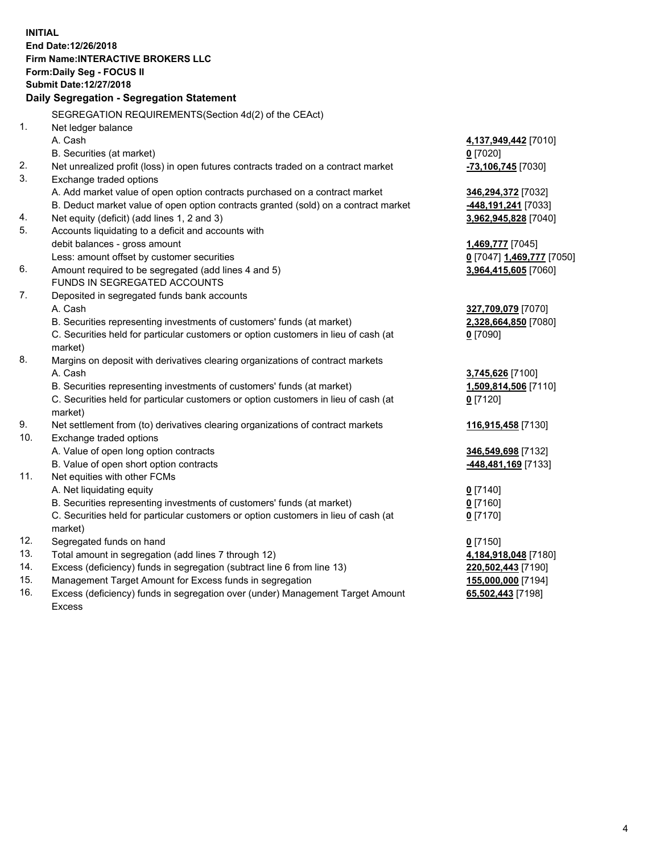**INITIAL End Date:12/26/2018 Firm Name:INTERACTIVE BROKERS LLC Form:Daily Seg - FOCUS II Submit Date:12/27/2018 Daily Segregation - Segregation Statement** SEGREGATION REQUIREMENTS(Section 4d(2) of the CEAct) 1. Net ledger balance A. Cash **4,137,949,442** [7010] B. Securities (at market) **0** [7020] 2. Net unrealized profit (loss) in open futures contracts traded on a contract market **-73,106,745** [7030] 3. Exchange traded options A. Add market value of open option contracts purchased on a contract market **346,294,372** [7032] B. Deduct market value of open option contracts granted (sold) on a contract market **-448,191,241** [7033] 4. Net equity (deficit) (add lines 1, 2 and 3) **3,962,945,828** [7040] 5. Accounts liquidating to a deficit and accounts with debit balances - gross amount **1,469,777** [7045] Less: amount offset by customer securities **0** [7047] **1,469,777** [7050] 6. Amount required to be segregated (add lines 4 and 5) **3,964,415,605** [7060] FUNDS IN SEGREGATED ACCOUNTS 7. Deposited in segregated funds bank accounts A. Cash **327,709,079** [7070] B. Securities representing investments of customers' funds (at market) **2,328,664,850** [7080] C. Securities held for particular customers or option customers in lieu of cash (at market) **0** [7090] 8. Margins on deposit with derivatives clearing organizations of contract markets A. Cash **3,745,626** [7100] B. Securities representing investments of customers' funds (at market) **1,509,814,506** [7110] C. Securities held for particular customers or option customers in lieu of cash (at market) **0** [7120] 9. Net settlement from (to) derivatives clearing organizations of contract markets **116,915,458** [7130] 10. Exchange traded options A. Value of open long option contracts **346,549,698** [7132] B. Value of open short option contracts **-448,481,169** [7133] 11. Net equities with other FCMs A. Net liquidating equity **0** [7140] B. Securities representing investments of customers' funds (at market) **0** [7160] C. Securities held for particular customers or option customers in lieu of cash (at market) **0** [7170] 12. Segregated funds on hand **0** [7150] 13. Total amount in segregation (add lines 7 through 12) **4,184,918,048** [7180] 14. Excess (deficiency) funds in segregation (subtract line 6 from line 13) **220,502,443** [7190] 15. Management Target Amount for Excess funds in segregation **155,000,000** [7194]

16. Excess (deficiency) funds in segregation over (under) Management Target Amount Excess

**65,502,443** [7198]